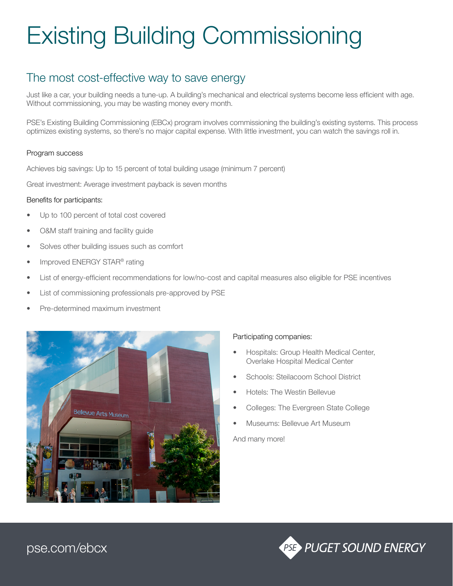# Existing Building Commissioning

### The most cost-effective way to save energy

Just like a car, your building needs a tune-up. A building's mechanical and electrical systems become less efficient with age. Without commissioning, you may be wasting money every month.

PSE's Existing Building Commissioning (EBCx) program involves commissioning the building's existing systems. This process optimizes existing systems, so there's no major capital expense. With little investment, you can watch the savings roll in.

#### Program success

Achieves big savings: Up to 15 percent of total building usage (minimum 7 percent)

Great investment: Average investment payback is seven months

#### Benefits for participants:

- Up to 100 percent of total cost covered
- O&M staff training and facility guide
- Solves other building issues such as comfort
- Improved ENERGY STAR® rating
- List of energy-efficient recommendations for low/no-cost and capital measures also eligible for PSE incentives
- List of commissioning professionals pre-approved by PSE
- Pre-determined maximum investment



#### Participating companies:

- Hospitals: Group Health Medical Center, Overlake Hospital Medical Center
- Schools: Steilacoom School District
- Hotels: The Westin Bellevue
- Colleges: The Evergreen State College
- Museums: Bellevue Art Museum

And many more!



[pse.com/ebcx](http://pse.com/ebcx)